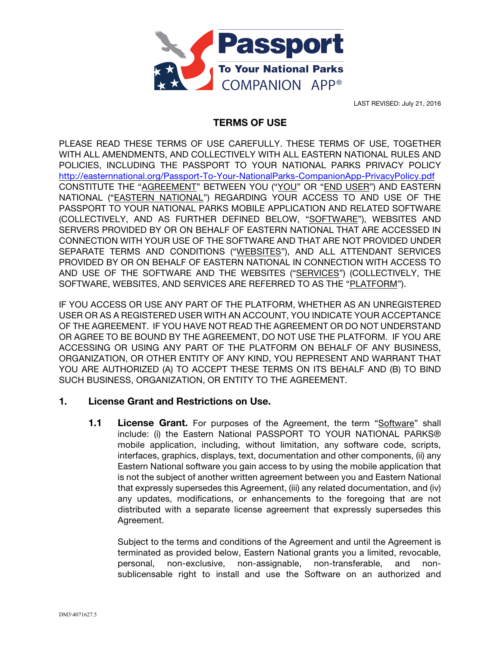

LAST REVISED: July 21, 2016

# TERMS OF USE

PLEASE READ THESE TERMS OF USE CAREFULLY. THESE TERMS OF USE, TOGETHER WITH ALL AMENDMENTS, AND COLLECTIVELY WITH ALL EASTERN NATIONAL RULES AND POLICIES, INCLUDING THE PASSPORT TO YOUR NATIONAL PARKS PRIVACY POLICY http://easternnational.org/Passport-To-Your-NationalParks-CompanionApp-PrivacyPolicy.pdf CONSTITUTE THE "AGREEMENT" BETWEEN YOU ("YOU" OR "END USER") AND EASTERN NATIONAL ("EASTERN NATIONAL") REGARDING YOUR ACCESS TO AND USE OF THE PASSPORT TO YOUR NATIONAL PARKS MOBILE APPLICATION AND RELATED SOFTWARE (COLLECTIVELY, AND AS FURTHER DEFINED BELOW, "SOFTWARE"), WEBSITES AND SERVERS PROVIDED BY OR ON BEHALF OF EASTERN NATIONAL THAT ARE ACCESSED IN CONNECTION WITH YOUR USE OF THE SOFTWARE AND THAT ARE NOT PROVIDED UNDER SEPARATE TERMS AND CONDITIONS ("WEBSITES"), AND ALL ATTENDANT SERVICES PROVIDED BY OR ON BEHALF OF EASTERN NATIONAL IN CONNECTION WITH ACCESS TO AND USE OF THE SOFTWARE AND THE WEBSITES ("SERVICES") (COLLECTIVELY, THE SOFTWARE, WEBSITES, AND SERVICES ARE REFERRED TO AS THE "PLATFORM").

IF YOU ACCESS OR USE ANY PART OF THE PLATFORM, WHETHER AS AN UNREGISTERED USER OR AS A REGISTERED USER WITH AN ACCOUNT, YOU INDICATE YOUR ACCEPTANCE OF THE AGREEMENT. IF YOU HAVE NOT READ THE AGREEMENT OR DO NOT UNDERSTAND OR AGREE TO BE BOUND BY THE AGREEMENT, DO NOT USE THE PLATFORM. IF YOU ARE ACCESSING OR USING ANY PART OF THE PLATFORM ON BEHALF OF ANY BUSINESS, ORGANIZATION, OR OTHER ENTITY OF ANY KIND, YOU REPRESENT AND WARRANT THAT YOU ARE AUTHORIZED (A) TO ACCEPT THESE TERMS ON ITS BEHALF AND (B) TO BIND SUCH BUSINESS, ORGANIZATION, OR ENTITY TO THE AGREEMENT.

## 1. License Grant and Restrictions on Use.

**1.1 License Grant.** For purposes of the Agreement, the term "Software" shall include: (i) the Eastern National PASSPORT TO YOUR NATIONAL PARKS® mobile application, including, without limitation, any software code, scripts, interfaces, graphics, displays, text, documentation and other components, (ii) any Eastern National software you gain access to by using the mobile application that is not the subject of another written agreement between you and Eastern National that expressly supersedes this Agreement, (iii) any related documentation, and (iv) any updates, modifications, or enhancements to the foregoing that are not distributed with a separate license agreement that expressly supersedes this Agreement.

Subject to the terms and conditions of the Agreement and until the Agreement is terminated as provided below, Eastern National grants you a limited, revocable, personal, non-exclusive, non-assignable, non-transferable, and nonsublicensable right to install and use the Software on an authorized and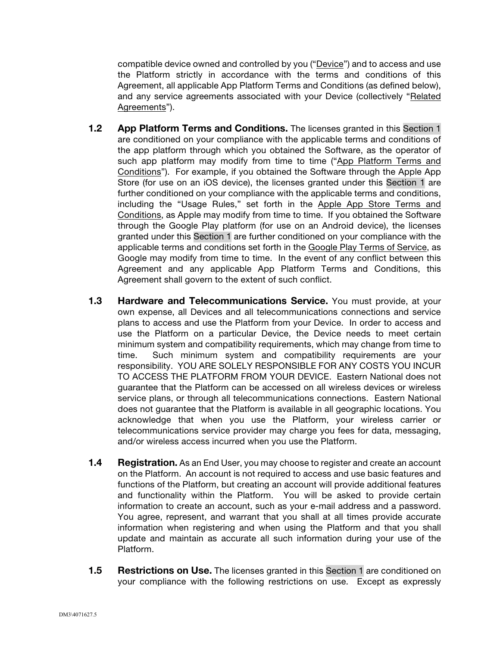compatible device owned and controlled by you ("Device") and to access and use the Platform strictly in accordance with the terms and conditions of this Agreement, all applicable App Platform Terms and Conditions (as defined below), and any service agreements associated with your Device (collectively "Related Agreements").

- 1.2 App Platform Terms and Conditions. The licenses granted in this Section 1 are conditioned on your compliance with the applicable terms and conditions of the app platform through which you obtained the Software, as the operator of such app platform may modify from time to time ("App Platform Terms and Conditions"). For example, if you obtained the Software through the Apple App Store (for use on an iOS device), the licenses granted under this Section 1 are further conditioned on your compliance with the applicable terms and conditions, including the "Usage Rules," set forth in the Apple App Store Terms and Conditions, as Apple may modify from time to time. If you obtained the Software through the Google Play platform (for use on an Android device), the licenses granted under this Section 1 are further conditioned on your compliance with the applicable terms and conditions set forth in the Google Play Terms of Service, as Google may modify from time to time. In the event of any conflict between this Agreement and any applicable App Platform Terms and Conditions, this Agreement shall govern to the extent of such conflict.
- 1.3 Hardware and Telecommunications Service. You must provide, at your own expense, all Devices and all telecommunications connections and service plans to access and use the Platform from your Device. In order to access and use the Platform on a particular Device, the Device needs to meet certain minimum system and compatibility requirements, which may change from time to time. Such minimum system and compatibility requirements are your responsibility. YOU ARE SOLELY RESPONSIBLE FOR ANY COSTS YOU INCUR TO ACCESS THE PLATFORM FROM YOUR DEVICE. Eastern National does not guarantee that the Platform can be accessed on all wireless devices or wireless service plans, or through all telecommunications connections. Eastern National does not guarantee that the Platform is available in all geographic locations. You acknowledge that when you use the Platform, your wireless carrier or telecommunications service provider may charge you fees for data, messaging, and/or wireless access incurred when you use the Platform.
- **1.4 Registration.** As an End User, you may choose to register and create an account on the Platform. An account is not required to access and use basic features and functions of the Platform, but creating an account will provide additional features and functionality within the Platform. You will be asked to provide certain information to create an account, such as your e-mail address and a password. You agree, represent, and warrant that you shall at all times provide accurate information when registering and when using the Platform and that you shall update and maintain as accurate all such information during your use of the Platform.
- **1.5 Restrictions on Use.** The licenses granted in this Section 1 are conditioned on your compliance with the following restrictions on use. Except as expressly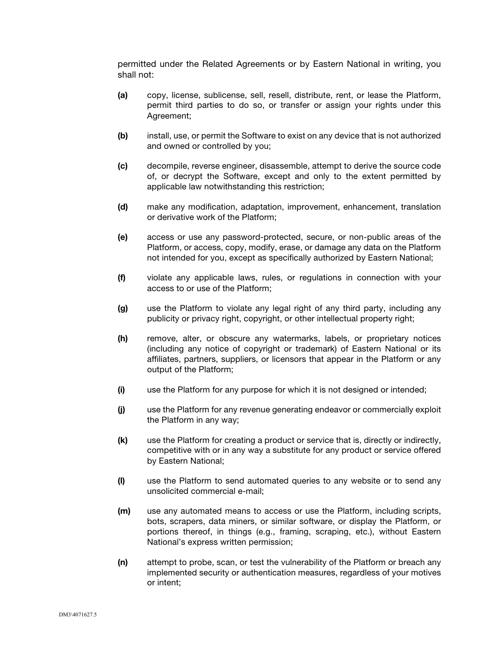permitted under the Related Agreements or by Eastern National in writing, you shall not:

- (a) copy, license, sublicense, sell, resell, distribute, rent, or lease the Platform, permit third parties to do so, or transfer or assign your rights under this Agreement;
- (b) install, use, or permit the Software to exist on any device that is not authorized and owned or controlled by you;
- (c) decompile, reverse engineer, disassemble, attempt to derive the source code of, or decrypt the Software, except and only to the extent permitted by applicable law notwithstanding this restriction;
- (d) make any modification, adaptation, improvement, enhancement, translation or derivative work of the Platform;
- (e) access or use any password-protected, secure, or non-public areas of the Platform, or access, copy, modify, erase, or damage any data on the Platform not intended for you, except as specifically authorized by Eastern National;
- (f) violate any applicable laws, rules, or regulations in connection with your access to or use of the Platform;
- (g) use the Platform to violate any legal right of any third party, including any publicity or privacy right, copyright, or other intellectual property right;
- (h) remove, alter, or obscure any watermarks, labels, or proprietary notices (including any notice of copyright or trademark) of Eastern National or its affiliates, partners, suppliers, or licensors that appear in the Platform or any output of the Platform;
- (i) use the Platform for any purpose for which it is not designed or intended;
- (j) use the Platform for any revenue generating endeavor or commercially exploit the Platform in any way;
- (k) use the Platform for creating a product or service that is, directly or indirectly, competitive with or in any way a substitute for any product or service offered by Eastern National;
- (l) use the Platform to send automated queries to any website or to send any unsolicited commercial e-mail;
- (m) use any automated means to access or use the Platform, including scripts, bots, scrapers, data miners, or similar software, or display the Platform, or portions thereof, in things (e.g., framing, scraping, etc.), without Eastern National's express written permission;
- (n) attempt to probe, scan, or test the vulnerability of the Platform or breach any implemented security or authentication measures, regardless of your motives or intent;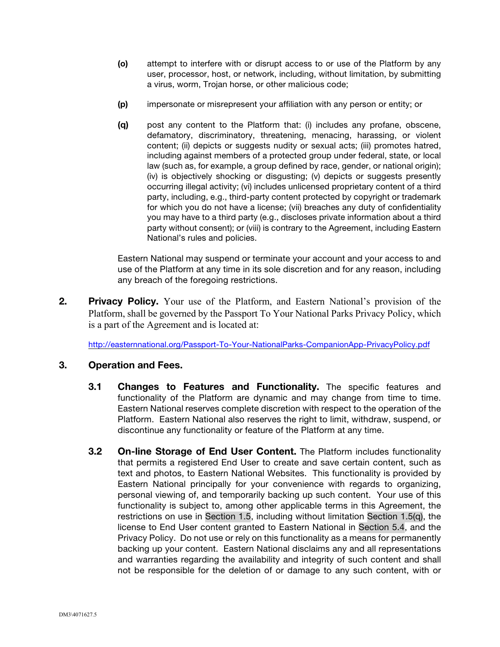- (o) attempt to interfere with or disrupt access to or use of the Platform by any user, processor, host, or network, including, without limitation, by submitting a virus, worm, Trojan horse, or other malicious code;
- (p) impersonate or misrepresent your affiliation with any person or entity; or
- (q) post any content to the Platform that: (i) includes any profane, obscene, defamatory, discriminatory, threatening, menacing, harassing, or violent content; (ii) depicts or suggests nudity or sexual acts; (iii) promotes hatred, including against members of a protected group under federal, state, or local law (such as, for example, a group defined by race, gender, or national origin); (iv) is objectively shocking or disgusting; (v) depicts or suggests presently occurring illegal activity; (vi) includes unlicensed proprietary content of a third party, including, e.g., third-party content protected by copyright or trademark for which you do not have a license; (vii) breaches any duty of confidentiality you may have to a third party (e.g., discloses private information about a third party without consent); or (viii) is contrary to the Agreement, including Eastern National's rules and policies.

Eastern National may suspend or terminate your account and your access to and use of the Platform at any time in its sole discretion and for any reason, including any breach of the foregoing restrictions.

2. Privacy Policy. Your use of the Platform, and Eastern National's provision of the Platform, shall be governed by the Passport To Your National Parks Privacy Policy, which is a part of the Agreement and is located at:

http://easternnational.org/Passport-To-Your-NationalParks-CompanionApp-PrivacyPolicy.pdf

## 3. Operation and Fees.

- 3.1 Changes to Features and Functionality. The specific features and functionality of the Platform are dynamic and may change from time to time. Eastern National reserves complete discretion with respect to the operation of the Platform. Eastern National also reserves the right to limit, withdraw, suspend, or discontinue any functionality or feature of the Platform at any time.
- **3.2 On-line Storage of End User Content.** The Platform includes functionality that permits a registered End User to create and save certain content, such as text and photos, to Eastern National Websites. This functionality is provided by Eastern National principally for your convenience with regards to organizing, personal viewing of, and temporarily backing up such content. Your use of this functionality is subject to, among other applicable terms in this Agreement, the restrictions on use in Section 1.5, including without limitation Section 1.5(q), the license to End User content granted to Eastern National in Section 5.4, and the Privacy Policy. Do not use or rely on this functionality as a means for permanently backing up your content. Eastern National disclaims any and all representations and warranties regarding the availability and integrity of such content and shall not be responsible for the deletion of or damage to any such content, with or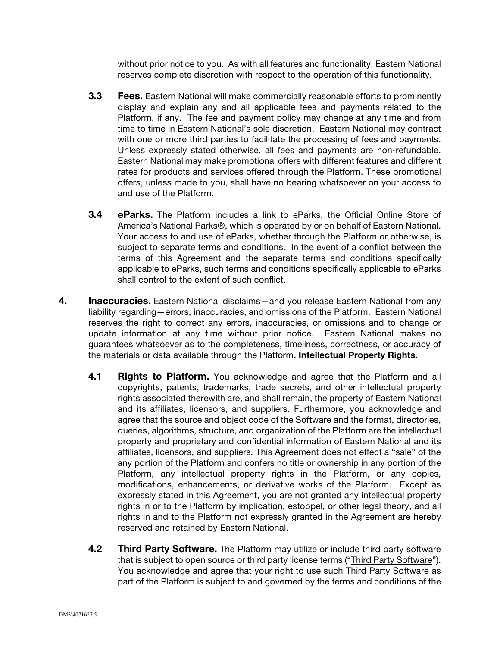without prior notice to you. As with all features and functionality, Eastern National reserves complete discretion with respect to the operation of this functionality.

- **3.3** Fees. Eastern National will make commercially reasonable efforts to prominently display and explain any and all applicable fees and payments related to the Platform, if any. The fee and payment policy may change at any time and from time to time in Eastern National's sole discretion. Eastern National may contract with one or more third parties to facilitate the processing of fees and payments. Unless expressly stated otherwise, all fees and payments are non-refundable. Eastern National may make promotional offers with different features and different rates for products and services offered through the Platform. These promotional offers, unless made to you, shall have no bearing whatsoever on your access to and use of the Platform.
- **3.4 eParks.** The Platform includes a link to eParks, the Official Online Store of America's National Parks®, which is operated by or on behalf of Eastern National. Your access to and use of eParks, whether through the Platform or otherwise, is subject to separate terms and conditions. In the event of a conflict between the terms of this Agreement and the separate terms and conditions specifically applicable to eParks, such terms and conditions specifically applicable to eParks shall control to the extent of such conflict.
- 4. Inaccuracies. Eastern National disclaims—and you release Eastern National from any liability regarding—errors, inaccuracies, and omissions of the Platform. Eastern National reserves the right to correct any errors, inaccuracies, or omissions and to change or update information at any time without prior notice. Eastern National makes no guarantees whatsoever as to the completeness, timeliness, correctness, or accuracy of the materials or data available through the Platform. Intellectual Property Rights.
	- **4.1 Rights to Platform.** You acknowledge and agree that the Platform and all copyrights, patents, trademarks, trade secrets, and other intellectual property rights associated therewith are, and shall remain, the property of Eastern National and its affiliates, licensors, and suppliers. Furthermore, you acknowledge and agree that the source and object code of the Software and the format, directories, queries, algorithms, structure, and organization of the Platform are the intellectual property and proprietary and confidential information of Eastern National and its affiliates, licensors, and suppliers. This Agreement does not effect a "sale" of the any portion of the Platform and confers no title or ownership in any portion of the Platform, any intellectual property rights in the Platform, or any copies, modifications, enhancements, or derivative works of the Platform. Except as expressly stated in this Agreement, you are not granted any intellectual property rights in or to the Platform by implication, estoppel, or other legal theory, and all rights in and to the Platform not expressly granted in the Agreement are hereby reserved and retained by Eastern National.
	- 4.2 Third Party Software. The Platform may utilize or include third party software that is subject to open source or third party license terms ("Third Party Software"). You acknowledge and agree that your right to use such Third Party Software as part of the Platform is subject to and governed by the terms and conditions of the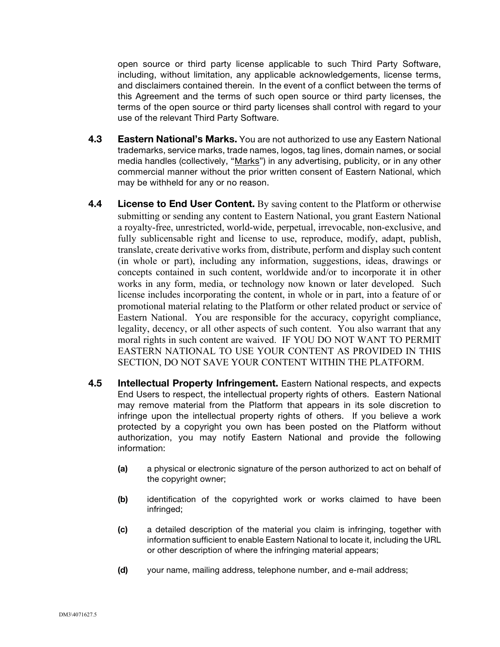open source or third party license applicable to such Third Party Software, including, without limitation, any applicable acknowledgements, license terms, and disclaimers contained therein. In the event of a conflict between the terms of this Agreement and the terms of such open source or third party licenses, the terms of the open source or third party licenses shall control with regard to your use of the relevant Third Party Software.

- 4.3 Eastern National's Marks. You are not authorized to use any Eastern National trademarks, service marks, trade names, logos, tag lines, domain names, or social media handles (collectively, "Marks") in any advertising, publicity, or in any other commercial manner without the prior written consent of Eastern National, which may be withheld for any or no reason.
- 4.4 License to End User Content. By saving content to the Platform or otherwise submitting or sending any content to Eastern National, you grant Eastern National a royalty-free, unrestricted, world-wide, perpetual, irrevocable, non-exclusive, and fully sublicensable right and license to use, reproduce, modify, adapt, publish, translate, create derivative works from, distribute, perform and display such content (in whole or part), including any information, suggestions, ideas, drawings or concepts contained in such content, worldwide and/or to incorporate it in other works in any form, media, or technology now known or later developed. Such license includes incorporating the content, in whole or in part, into a feature of or promotional material relating to the Platform or other related product or service of Eastern National. You are responsible for the accuracy, copyright compliance, legality, decency, or all other aspects of such content. You also warrant that any moral rights in such content are waived. IF YOU DO NOT WANT TO PERMIT EASTERN NATIONAL TO USE YOUR CONTENT AS PROVIDED IN THIS SECTION, DO NOT SAVE YOUR CONTENT WITHIN THE PLATFORM.
- 4.5 Intellectual Property Infringement. Eastern National respects, and expects End Users to respect, the intellectual property rights of others. Eastern National may remove material from the Platform that appears in its sole discretion to infringe upon the intellectual property rights of others. If you believe a work protected by a copyright you own has been posted on the Platform without authorization, you may notify Eastern National and provide the following information:
	- (a) a physical or electronic signature of the person authorized to act on behalf of the copyright owner;
	- (b) identification of the copyrighted work or works claimed to have been infringed;
	- (c) a detailed description of the material you claim is infringing, together with information sufficient to enable Eastern National to locate it, including the URL or other description of where the infringing material appears;
	- (d) your name, mailing address, telephone number, and e-mail address;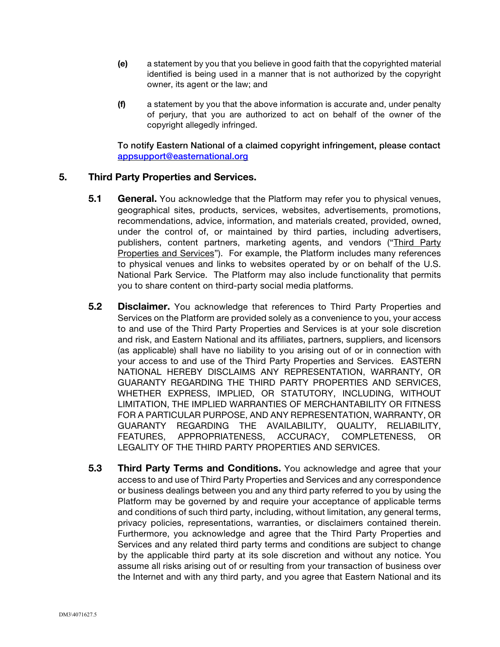- (e) a statement by you that you believe in good faith that the copyrighted material identified is being used in a manner that is not authorized by the copyright owner, its agent or the law; and
- $(f)$  a statement by you that the above information is accurate and, under penalty of perjury, that you are authorized to act on behalf of the owner of the copyright allegedly infringed.

To notify Eastern National of a claimed copyright infringement, please contact appsupport@easternational.org

## 5. Third Party Properties and Services.

- **5.1** General. You acknowledge that the Platform may refer you to physical venues, geographical sites, products, services, websites, advertisements, promotions, recommendations, advice, information, and materials created, provided, owned, under the control of, or maintained by third parties, including advertisers, publishers, content partners, marketing agents, and vendors ("Third Party Properties and Services"). For example, the Platform includes many references to physical venues and links to websites operated by or on behalf of the U.S. National Park Service. The Platform may also include functionality that permits you to share content on third-party social media platforms.
- **5.2** Disclaimer. You acknowledge that references to Third Party Properties and Services on the Platform are provided solely as a convenience to you, your access to and use of the Third Party Properties and Services is at your sole discretion and risk, and Eastern National and its affiliates, partners, suppliers, and licensors (as applicable) shall have no liability to you arising out of or in connection with your access to and use of the Third Party Properties and Services. EASTERN NATIONAL HEREBY DISCLAIMS ANY REPRESENTATION, WARRANTY, OR GUARANTY REGARDING THE THIRD PARTY PROPERTIES AND SERVICES, WHETHER EXPRESS, IMPLIED, OR STATUTORY, INCLUDING, WITHOUT LIMITATION, THE IMPLIED WARRANTIES OF MERCHANTABILITY OR FITNESS FOR A PARTICULAR PURPOSE, AND ANY REPRESENTATION, WARRANTY, OR GUARANTY REGARDING THE AVAILABILITY, QUALITY, RELIABILITY, FEATURES, APPROPRIATENESS, ACCURACY, COMPLETENESS, OR LEGALITY OF THE THIRD PARTY PROPERTIES AND SERVICES.
- 5.3 Third Party Terms and Conditions. You acknowledge and agree that your access to and use of Third Party Properties and Services and any correspondence or business dealings between you and any third party referred to you by using the Platform may be governed by and require your acceptance of applicable terms and conditions of such third party, including, without limitation, any general terms, privacy policies, representations, warranties, or disclaimers contained therein. Furthermore, you acknowledge and agree that the Third Party Properties and Services and any related third party terms and conditions are subject to change by the applicable third party at its sole discretion and without any notice. You assume all risks arising out of or resulting from your transaction of business over the Internet and with any third party, and you agree that Eastern National and its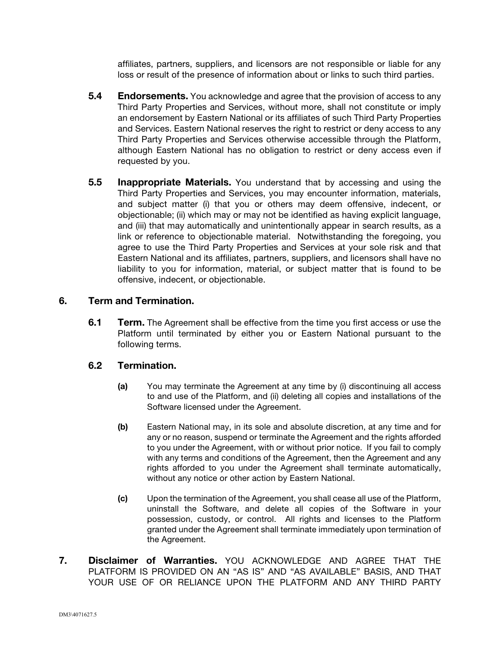affiliates, partners, suppliers, and licensors are not responsible or liable for any loss or result of the presence of information about or links to such third parties.

- **5.4 Endorsements.** You acknowledge and agree that the provision of access to any Third Party Properties and Services, without more, shall not constitute or imply an endorsement by Eastern National or its affiliates of such Third Party Properties and Services. Eastern National reserves the right to restrict or deny access to any Third Party Properties and Services otherwise accessible through the Platform, although Eastern National has no obligation to restrict or deny access even if requested by you.
- **5.5 Inappropriate Materials.** You understand that by accessing and using the Third Party Properties and Services, you may encounter information, materials, and subject matter (i) that you or others may deem offensive, indecent, or objectionable; (ii) which may or may not be identified as having explicit language, and (iii) that may automatically and unintentionally appear in search results, as a link or reference to objectionable material. Notwithstanding the foregoing, you agree to use the Third Party Properties and Services at your sole risk and that Eastern National and its affiliates, partners, suppliers, and licensors shall have no liability to you for information, material, or subject matter that is found to be offensive, indecent, or objectionable.

## 6. Term and Termination.

**6.1 Term.** The Agreement shall be effective from the time you first access or use the Platform until terminated by either you or Eastern National pursuant to the following terms.

## 6.2 Termination.

- (a) You may terminate the Agreement at any time by (i) discontinuing all access to and use of the Platform, and (ii) deleting all copies and installations of the Software licensed under the Agreement.
- (b) Eastern National may, in its sole and absolute discretion, at any time and for any or no reason, suspend or terminate the Agreement and the rights afforded to you under the Agreement, with or without prior notice. If you fail to comply with any terms and conditions of the Agreement, then the Agreement and any rights afforded to you under the Agreement shall terminate automatically, without any notice or other action by Eastern National.
- (c) Upon the termination of the Agreement, you shall cease all use of the Platform, uninstall the Software, and delete all copies of the Software in your possession, custody, or control. All rights and licenses to the Platform granted under the Agreement shall terminate immediately upon termination of the Agreement.
- 7. Disclaimer of Warranties. YOU ACKNOWLEDGE AND AGREE THAT THE PLATFORM IS PROVIDED ON AN "AS IS" AND "AS AVAILABLE" BASIS, AND THAT YOUR USE OF OR RELIANCE UPON THE PLATFORM AND ANY THIRD PARTY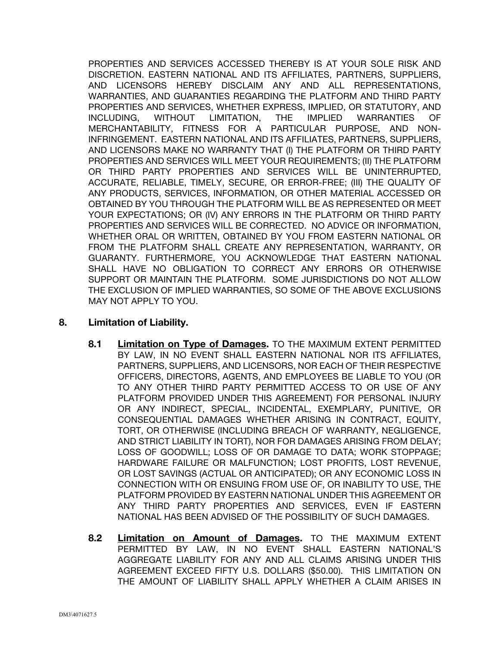PROPERTIES AND SERVICES ACCESSED THEREBY IS AT YOUR SOLE RISK AND DISCRETION. EASTERN NATIONAL AND ITS AFFILIATES, PARTNERS, SUPPLIERS, AND LICENSORS HEREBY DISCLAIM ANY AND ALL REPRESENTATIONS, WARRANTIES, AND GUARANTIES REGARDING THE PLATFORM AND THIRD PARTY PROPERTIES AND SERVICES, WHETHER EXPRESS, IMPLIED, OR STATUTORY, AND INCLUDING, WITHOUT LIMITATION, THE IMPLIED WARRANTIES OF MERCHANTABILITY, FITNESS FOR A PARTICULAR PURPOSE, AND NON-INFRINGEMENT. EASTERN NATIONAL AND ITS AFFILIATES, PARTNERS, SUPPLIERS, AND LICENSORS MAKE NO WARRANTY THAT (I) THE PLATFORM OR THIRD PARTY PROPERTIES AND SERVICES WILL MEET YOUR REQUIREMENTS; (II) THE PLATFORM OR THIRD PARTY PROPERTIES AND SERVICES WILL BE UNINTERRUPTED, ACCURATE, RELIABLE, TIMELY, SECURE, OR ERROR-FREE; (III) THE QUALITY OF ANY PRODUCTS, SERVICES, INFORMATION, OR OTHER MATERIAL ACCESSED OR OBTAINED BY YOU THROUGH THE PLATFORM WILL BE AS REPRESENTED OR MEET YOUR EXPECTATIONS; OR (IV) ANY ERRORS IN THE PLATFORM OR THIRD PARTY PROPERTIES AND SERVICES WILL BE CORRECTED. NO ADVICE OR INFORMATION, WHETHER ORAL OR WRITTEN, OBTAINED BY YOU FROM EASTERN NATIONAL OR FROM THE PLATFORM SHALL CREATE ANY REPRESENTATION, WARRANTY, OR GUARANTY. FURTHERMORE, YOU ACKNOWLEDGE THAT EASTERN NATIONAL SHALL HAVE NO OBLIGATION TO CORRECT ANY ERRORS OR OTHERWISE SUPPORT OR MAINTAIN THE PLATFORM. SOME JURISDICTIONS DO NOT ALLOW THE EXCLUSION OF IMPLIED WARRANTIES, SO SOME OF THE ABOVE EXCLUSIONS MAY NOT APPLY TO YOU.

# 8. Limitation of Liability.

- 8.1 Limitation on Type of Damages. TO THE MAXIMUM EXTENT PERMITTED BY LAW, IN NO EVENT SHALL EASTERN NATIONAL NOR ITS AFFILIATES, PARTNERS, SUPPLIERS, AND LICENSORS, NOR EACH OF THEIR RESPECTIVE OFFICERS, DIRECTORS, AGENTS, AND EMPLOYEES BE LIABLE TO YOU (OR TO ANY OTHER THIRD PARTY PERMITTED ACCESS TO OR USE OF ANY PLATFORM PROVIDED UNDER THIS AGREEMENT) FOR PERSONAL INJURY OR ANY INDIRECT, SPECIAL, INCIDENTAL, EXEMPLARY, PUNITIVE, OR CONSEQUENTIAL DAMAGES WHETHER ARISING IN CONTRACT, EQUITY, TORT, OR OTHERWISE (INCLUDING BREACH OF WARRANTY, NEGLIGENCE, AND STRICT LIABILITY IN TORT), NOR FOR DAMAGES ARISING FROM DELAY; LOSS OF GOODWILL; LOSS OF OR DAMAGE TO DATA; WORK STOPPAGE; HARDWARE FAILURE OR MALFUNCTION; LOST PROFITS, LOST REVENUE, OR LOST SAVINGS (ACTUAL OR ANTICIPATED); OR ANY ECONOMIC LOSS IN CONNECTION WITH OR ENSUING FROM USE OF, OR INABILITY TO USE, THE PLATFORM PROVIDED BY EASTERN NATIONAL UNDER THIS AGREEMENT OR ANY THIRD PARTY PROPERTIES AND SERVICES, EVEN IF EASTERN NATIONAL HAS BEEN ADVISED OF THE POSSIBILITY OF SUCH DAMAGES.
- 8.2 Limitation on Amount of Damages. TO THE MAXIMUM EXTENT PERMITTED BY LAW, IN NO EVENT SHALL EASTERN NATIONAL'S AGGREGATE LIABILITY FOR ANY AND ALL CLAIMS ARISING UNDER THIS AGREEMENT EXCEED FIFTY U.S. DOLLARS (\$50.00). THIS LIMITATION ON THE AMOUNT OF LIABILITY SHALL APPLY WHETHER A CLAIM ARISES IN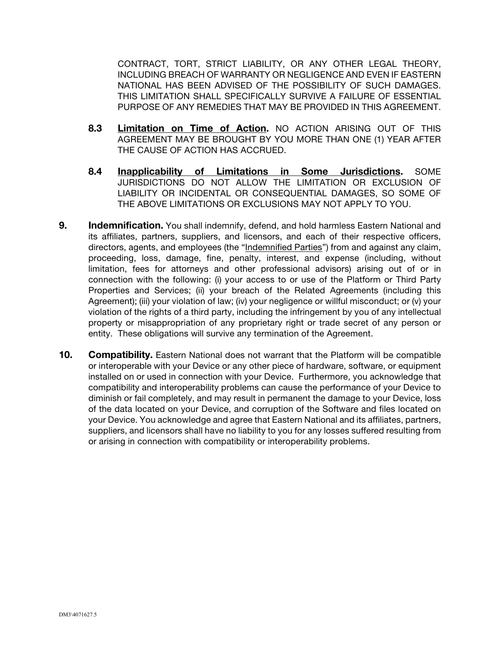CONTRACT, TORT, STRICT LIABILITY, OR ANY OTHER LEGAL THEORY, INCLUDING BREACH OF WARRANTY OR NEGLIGENCE AND EVEN IF EASTERN NATIONAL HAS BEEN ADVISED OF THE POSSIBILITY OF SUCH DAMAGES. THIS LIMITATION SHALL SPECIFICALLY SURVIVE A FAILURE OF ESSENTIAL PURPOSE OF ANY REMEDIES THAT MAY BE PROVIDED IN THIS AGREEMENT.

- 8.3 Limitation on Time of Action. NO ACTION ARISING OUT OF THIS AGREEMENT MAY BE BROUGHT BY YOU MORE THAN ONE (1) YEAR AFTER THE CAUSE OF ACTION HAS ACCRUED.
- 8.4 Inapplicability of Limitations in Some Jurisdictions. SOME JURISDICTIONS DO NOT ALLOW THE LIMITATION OR EXCLUSION OF LIABILITY OR INCIDENTAL OR CONSEQUENTIAL DAMAGES, SO SOME OF THE ABOVE LIMITATIONS OR EXCLUSIONS MAY NOT APPLY TO YOU.
- 9. Indemnification. You shall indemnify, defend, and hold harmless Eastern National and its affiliates, partners, suppliers, and licensors, and each of their respective officers, directors, agents, and employees (the "Indemnified Parties") from and against any claim, proceeding, loss, damage, fine, penalty, interest, and expense (including, without limitation, fees for attorneys and other professional advisors) arising out of or in connection with the following: (i) your access to or use of the Platform or Third Party Properties and Services; (ii) your breach of the Related Agreements (including this Agreement); (iii) your violation of law; (iv) your negligence or willful misconduct; or (v) your violation of the rights of a third party, including the infringement by you of any intellectual property or misappropriation of any proprietary right or trade secret of any person or entity. These obligations will survive any termination of the Agreement.
- 10. Compatibility. Eastern National does not warrant that the Platform will be compatible or interoperable with your Device or any other piece of hardware, software, or equipment installed on or used in connection with your Device. Furthermore, you acknowledge that compatibility and interoperability problems can cause the performance of your Device to diminish or fail completely, and may result in permanent the damage to your Device, loss of the data located on your Device, and corruption of the Software and files located on your Device. You acknowledge and agree that Eastern National and its affiliates, partners, suppliers, and licensors shall have no liability to you for any losses suffered resulting from or arising in connection with compatibility or interoperability problems.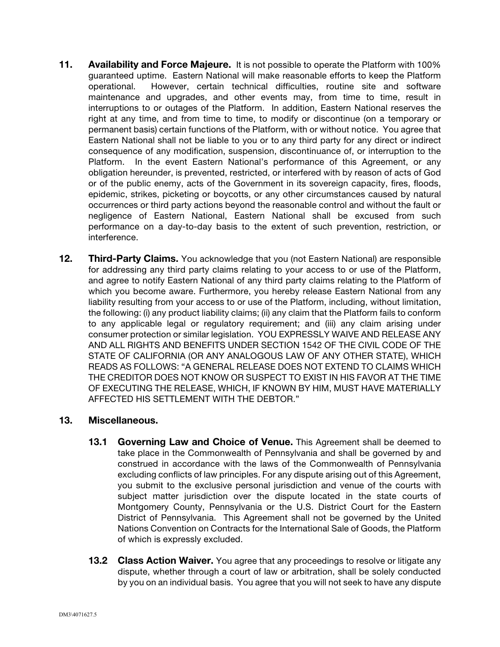- 11. Availability and Force Majeure. It is not possible to operate the Platform with 100% guaranteed uptime. Eastern National will make reasonable efforts to keep the Platform operational. However, certain technical difficulties, routine site and software maintenance and upgrades, and other events may, from time to time, result in interruptions to or outages of the Platform. In addition, Eastern National reserves the right at any time, and from time to time, to modify or discontinue (on a temporary or permanent basis) certain functions of the Platform, with or without notice. You agree that Eastern National shall not be liable to you or to any third party for any direct or indirect consequence of any modification, suspension, discontinuance of, or interruption to the Platform. In the event Eastern National's performance of this Agreement, or any obligation hereunder, is prevented, restricted, or interfered with by reason of acts of God or of the public enemy, acts of the Government in its sovereign capacity, fires, floods, epidemic, strikes, picketing or boycotts, or any other circumstances caused by natural occurrences or third party actions beyond the reasonable control and without the fault or negligence of Eastern National, Eastern National shall be excused from such performance on a day-to-day basis to the extent of such prevention, restriction, or interference.
- 12. Third-Party Claims. You acknowledge that you (not Eastern National) are responsible for addressing any third party claims relating to your access to or use of the Platform, and agree to notify Eastern National of any third party claims relating to the Platform of which you become aware. Furthermore, you hereby release Eastern National from any liability resulting from your access to or use of the Platform, including, without limitation, the following: (i) any product liability claims; (ii) any claim that the Platform fails to conform to any applicable legal or regulatory requirement; and (iii) any claim arising under consumer protection or similar legislation. YOU EXPRESSLY WAIVE AND RELEASE ANY AND ALL RIGHTS AND BENEFITS UNDER SECTION 1542 OF THE CIVIL CODE OF THE STATE OF CALIFORNIA (OR ANY ANALOGOUS LAW OF ANY OTHER STATE), WHICH READS AS FOLLOWS: "A GENERAL RELEASE DOES NOT EXTEND TO CLAIMS WHICH THE CREDITOR DOES NOT KNOW OR SUSPECT TO EXIST IN HIS FAVOR AT THE TIME OF EXECUTING THE RELEASE, WHICH, IF KNOWN BY HIM, MUST HAVE MATERIALLY AFFECTED HIS SETTLEMENT WITH THE DEBTOR."

## 13. Miscellaneous.

- **13.1 Governing Law and Choice of Venue.** This Agreement shall be deemed to take place in the Commonwealth of Pennsylvania and shall be governed by and construed in accordance with the laws of the Commonwealth of Pennsylvania excluding conflicts of law principles. For any dispute arising out of this Agreement, you submit to the exclusive personal jurisdiction and venue of the courts with subject matter jurisdiction over the dispute located in the state courts of Montgomery County, Pennsylvania or the U.S. District Court for the Eastern District of Pennsylvania. This Agreement shall not be governed by the United Nations Convention on Contracts for the International Sale of Goods, the Platform of which is expressly excluded.
- **13.2 Class Action Waiver.** You agree that any proceedings to resolve or litigate any dispute, whether through a court of law or arbitration, shall be solely conducted by you on an individual basis. You agree that you will not seek to have any dispute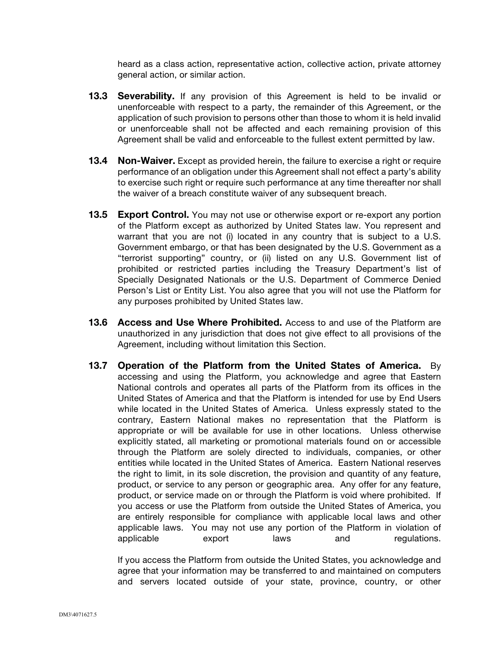heard as a class action, representative action, collective action, private attorney general action, or similar action.

- **13.3 Severability.** If any provision of this Agreement is held to be invalid or unenforceable with respect to a party, the remainder of this Agreement, or the application of such provision to persons other than those to whom it is held invalid or unenforceable shall not be affected and each remaining provision of this Agreement shall be valid and enforceable to the fullest extent permitted by law.
- **13.4 Non-Waiver.** Except as provided herein, the failure to exercise a right or require performance of an obligation under this Agreement shall not effect a party's ability to exercise such right or require such performance at any time thereafter nor shall the waiver of a breach constitute waiver of any subsequent breach.
- **13.5 Export Control.** You may not use or otherwise export or re-export any portion of the Platform except as authorized by United States law. You represent and warrant that you are not (i) located in any country that is subject to a U.S. Government embargo, or that has been designated by the U.S. Government as a "terrorist supporting" country, or (ii) listed on any U.S. Government list of prohibited or restricted parties including the Treasury Department's list of Specially Designated Nationals or the U.S. Department of Commerce Denied Person's List or Entity List. You also agree that you will not use the Platform for any purposes prohibited by United States law.
- **13.6 Access and Use Where Prohibited.** Access to and use of the Platform are unauthorized in any jurisdiction that does not give effect to all provisions of the Agreement, including without limitation this Section.
- 13.7 Operation of the Platform from the United States of America.By accessing and using the Platform, you acknowledge and agree that Eastern National controls and operates all parts of the Platform from its offices in the United States of America and that the Platform is intended for use by End Users while located in the United States of America. Unless expressly stated to the contrary, Eastern National makes no representation that the Platform is appropriate or will be available for use in other locations. Unless otherwise explicitly stated, all marketing or promotional materials found on or accessible through the Platform are solely directed to individuals, companies, or other entities while located in the United States of America. Eastern National reserves the right to limit, in its sole discretion, the provision and quantity of any feature, product, or service to any person or geographic area. Any offer for any feature, product, or service made on or through the Platform is void where prohibited. If you access or use the Platform from outside the United States of America, you are entirely responsible for compliance with applicable local laws and other applicable laws. You may not use any portion of the Platform in violation of applicable export laws and regulations.

If you access the Platform from outside the United States, you acknowledge and agree that your information may be transferred to and maintained on computers and servers located outside of your state, province, country, or other